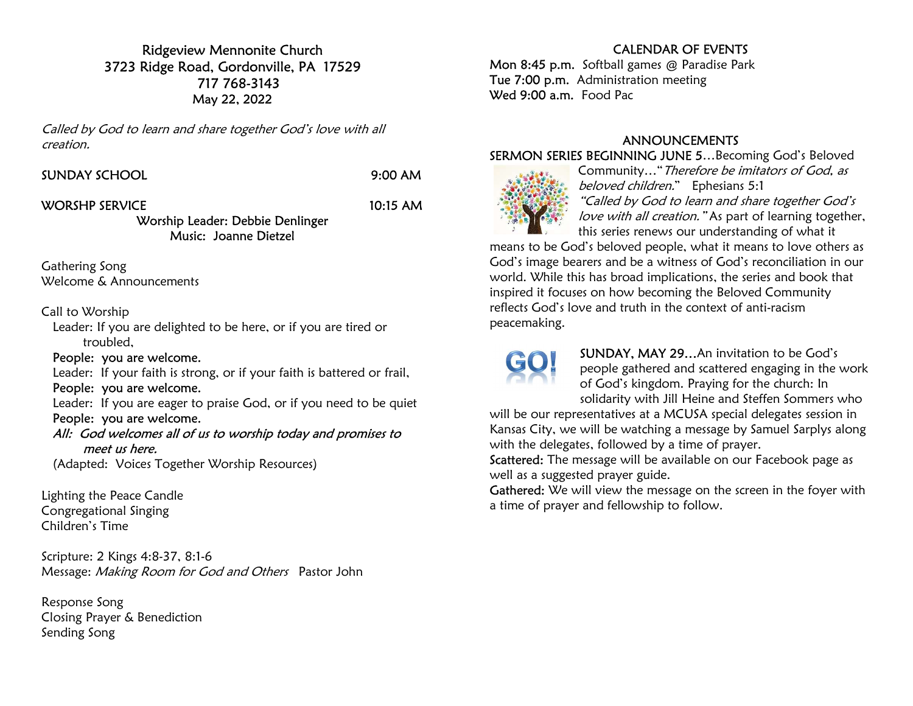Ridgeview Mennonite Church 3723 Ridge Road, Gordonville, PA 17529 717 768-3143 May 22, 2022

Called by God to learn and share together God's love with all creation.

|  |  |  | SUNDAY SCHOOL |  |  |  |
|--|--|--|---------------|--|--|--|
|  |  |  |               |  |  |  |

9:00 AM

### WORSHP SERVICE 10:15 AM

#### Worship Leader: Debbie Denlinger Music: Joanne Dietzel

Gathering Song Welcome & Announcements

### Call to Worship

 Leader: If you are delighted to be here, or if you are tired or troubled,

## People: you are welcome.

Leader: If your faith is strong, or if your faith is battered or frail,

## People: you are welcome.

 Leader: If you are eager to praise God, or if you need to be quiet People: you are welcome.

### All: God welcomes all of us to worship today and promises to meet us here.

(Adapted: Voices Together Worship Resources)

Lighting the Peace Candle Congregational Singing Children's Time

Scripture: 2 Kings 4:8-37, 8:1-6 Message: Making Room for God and Others Pastor John

Response Song Closing Prayer & Benediction Sending Song

# CALENDAR OF EVENTS

Mon 8:45 p.m. Softball games @ Paradise Park Tue 7:00 p.m. Administration meeting Wed 9:00 a.m. Food Pac

## ANNOUNCEMENTS

#### SERMON SERIES BEGINNING JUNE 5…Becoming God's Beloved



Community…"Therefore be imitators of God, as beloved children." Ephesians 5:1 "Called by God to learn and share together God's love with all creation." As part of learning together, this series renews our understanding of what it

means to be God's beloved people, what it means to love others as God's image bearers and be a witness of God's reconciliation in our world. While this has broad implications, the series and book that inspired it focuses on how becoming the Beloved Community reflects God's love and truth in the context of anti-racism peacemaking.



SUNDAY, MAY 29…An invitation to be God's people gathered and scattered engaging in the work of God's kingdom. Praying for the church: In solidarity with Jill Heine and Steffen Sommers who

will be our representatives at a MCUSA special delegates session in Kansas City, we will be watching a message by Samuel Sarplys along with the delegates, followed by a time of prayer.

Scattered: The message will be available on our Facebook page as well as a suggested prayer guide.

Gathered: We will view the message on the screen in the foyer with a time of prayer and fellowship to follow.